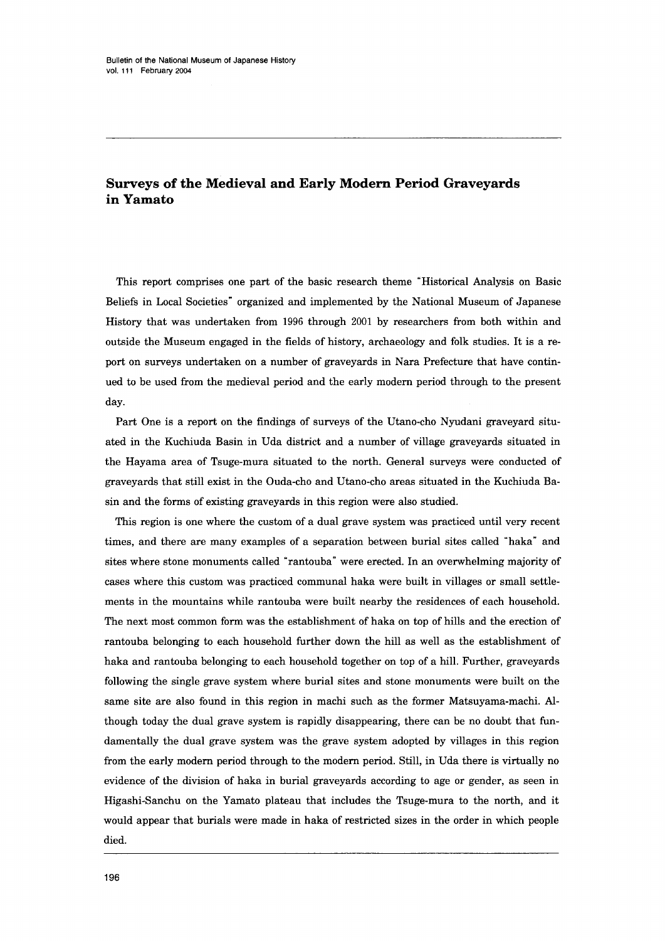## Surveys of the Medieval and Early Modern Period Graveyards in Yamato

 This report comprises one part of the basic research theme"Historical Analysis on Basic Beliefs in Local Societies" organized and implemented by the National Museum of Japanese History that was undertaken from 1996 through 2001 by researchers from both within and outside the Museum engaged in the fields of history, archaeology and folk studies. It is a report on surveys undertaken on a number of graveyards in Nara Prefecture that have continued to be used from the medieval period and the early modern period through to the present day.

 Part One is a report on the findings of surveys of the Utano-cho Nyudani graveyard situ ated in the Kuchiuda Basin in Uda district and a number of village graveyards situated in the Hayama area of Tsuge-mura situated to the north. General surveys were conducted of graveyards that still exist in the Ouda-cho and Utano-cho areas situated in the Kuchiuda Ba sin and the forms of existing graveyards in this region were also studied.

 This region is one where the custom of a dual grave system was practiced until very recent times, and there are many examples of a separation between burial sites called"haka"and sites where stone monuments called "rantouba" were erected. In an overwhelming majority of cases where this custom was practiced communal haka were built in villages or small settlements in the mountains while rantouba were built nearby the residences of each household. The next most common form was the establishment of haka on top of hills and the erection of rantouba belonging to each household further down the hill as well as the establishment of haka and rantouba belonging to each household together on top of a hill. Further, graveyards following the single grave system where burial sites and stone monuments were built on the same site are also found in this region in machi such as the former Matsuyama-machi. Although today the dual grave system is rapidly disappearing, there can be no doubt that fundamentally the dual grave system was the grave system adopted by villages in this region from the early modern period through to the modern period. Still, in Uda there is virtually no evidence of the division of haka in burial graveyards according to age or gender, as seen in Higashi-Sanchu on the Yamato plateau that includes the Tsuge-mura to the north, and it would appear that burials were made in haka of restricted sizes in the order in which people died.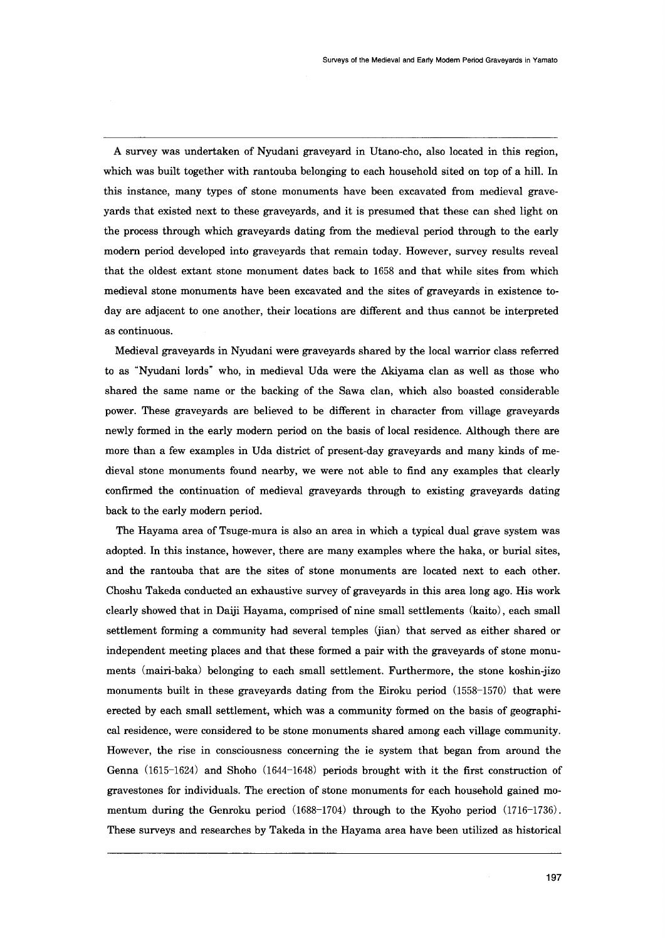Asurvey was unde式aken of Nyudani graveyard in Utano-cho, also located in this region, which was built together with rantouba belonging to each household sited on top of a hill. In this instance, many types of stone monuments have been excavated from medieval graveyards that existed next to these graveyards, and it is presumed that these can shed light on the process through which graveyards dating ffom the medieval period through to the early modem period developed into graveyards that remain today. However, survey results reveal that the oldest extant stone monument dates back to 1658 and that while sites from which medieval stone monuments have been excavated and the sites of graveyards in existence today are adjacent to one another, their locations are different and thus cannot be interpreted as continuous.

Medieval graveyards in Nyudani were graveyards shared by the local warrior class referred to as"Nyudani lords"who, in medieval Uda were the Akiyama clan as well as those who shared the same name or the backing of the Sawa clan, which also boasted considerable power. These graveyards are believed to be different in character from village graveyards newly formed in the early modern period on the basis of local residence. Although there are more than a few examples in Uda district of present-day graveyards and many kinds of medieval stone monuments found nearby, we were not able to find any examples that clearly confirmed the continuation of medieval graveyards through to existing graveyards dating back to the early modern period.

The Hayama area of Tsuge-mura is also an area in which a typical dual grave system was adopted. In this instance, however, there are many examples where the haka, or burial sites, and the rantouba that are the sites of stone monuments are located next to each other. Choshu Takeda conducted an exhaustive survey of graveyards in this area long ago. His work clearly showed that in Daiji Hayama, comprised of nine small settlements (kaito), each small settlement forming a community had several temples (jian) that served as either shared or independent meeting places and that these formed a pair with the graveyards of stone monuments (mairi-baka) belonging to each small settlement. Furthermore, the stone koshin-jizo monuments built in these graveyards dating from the Eiroku period  $(1558-1570)$  that were erected by each small settlement, which was a community formed on the basis of geographical residence, were considered to be stone monuments shared among each village community. However, the rise in consciousness concerning the ie system that began from around the Genna  $(1615-1624)$  and Shoho  $(1644-1648)$  periods brought with it the first construction of gravestones for individuals. The erection of stone monuments for each household gained momentum during the Genroku period  $(1688-1704)$  through to the Kyoho period  $(1716-1736)$ . These surveys and researches by Takeda in the Hayama area have been utilized as historical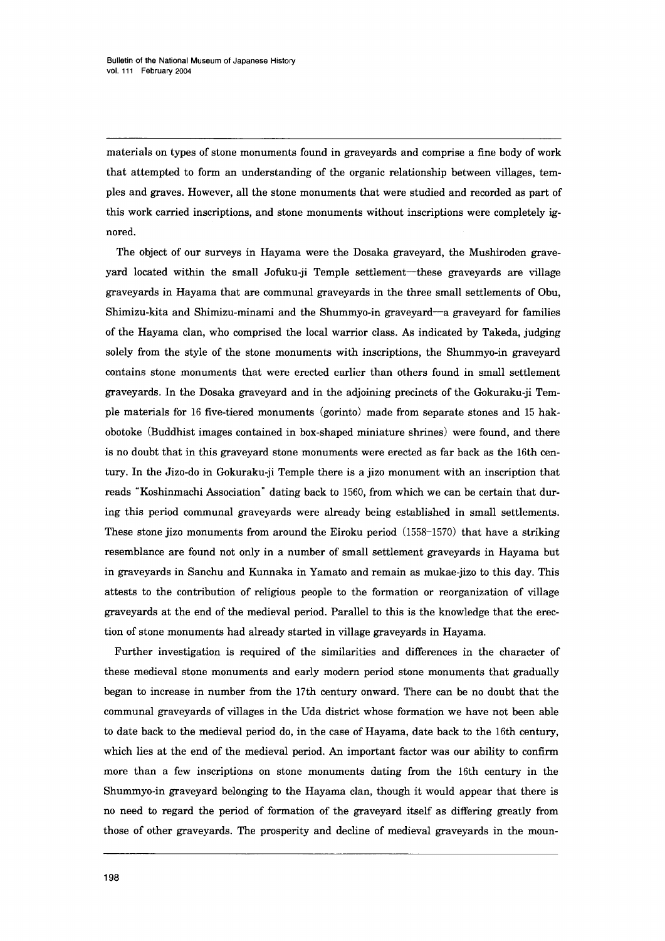materials on types of stone monuments found in graveyards and comprise a fine body of work that attempted to form an understanding of the organic relationship between villages, temples and graves. However, all the stone monuments that were studied and recorded as part of this work carried inscriptions, and stone monuments without inscriptions were completely ig nored.

The object of our surveys in Hayama were the Dosaka graveyard, the Mushiroden graveyard located within the small Jofuku-ji Temple settlement—these graveyards are village graveyards in Hayama that are communal graveyards in the three small settlements of Obu, Shimizu-kita and Shimizu-minami and the Shummyo-in graveyard-a graveyard for families of the Hayama clan, who comprised the local warrior class. As indicated by Takeda, judging solely from the style of the stone monuments with inscriptions, the Shummyo-in graveyard contains stone monuments that were erected earlier than others found in small settlement graveyards. In the Dosaka graveyard and in the adjoining precincts of the Gokuraku-ji Temple materials for 16 five-tiered monuments (gorinto) made from separate stones and 15 hakobotoke (Buddhist images contained in box-shaped miniature shrines) were found, and there is no doubt that in this graveyard stone monuments were erected as far back as the 16th century. In the Jizo-do in Gokuraku-ji Temple there is a jizo monument with an inscription that reads "Koshinmachi Association" dating back to 1560, from which we can be certain that during this period communal graveyards were already being established in small settlements. These stone jizo monuments from around the Eiroku period  $(1558-1570)$  that have a striking resemblance are fbund not only in a number of small settlement graveyards in Hayama but in graveyards in Sanchu and Kunnaka in Yamato and remain as mukae-jizo to this day. This attests to the contribution of religious people to the formation or reorganization of village graveyards at the end of the medieval period. Parallel to this is the knowledge that the erection of stone monuments had already started in village graveyards in Hayama.

Further investigation is required of the similarities and differences in the character of these medieval stone monuments and early modern period stone monuments that gradually began to increase in number from the 17th century onward. There can be no doubt that the communal graveyards of villages in the Uda district whose formation we have not been able to date back to the medieval period do, in the case of Hayama, date back to the 16th century, which lies at the end of the medieval period. An important factor was our ability to confirm more than a few inscriptions on stone monuments dating from the 16th century in the Shummyo-in graveyard belonging to the Hayama clan, though it would appear that there is no need to regard the period of formation of the graveyard itself as differing greatly from those of other graveyards. The prosperity and decline of medieval graveyards in the moun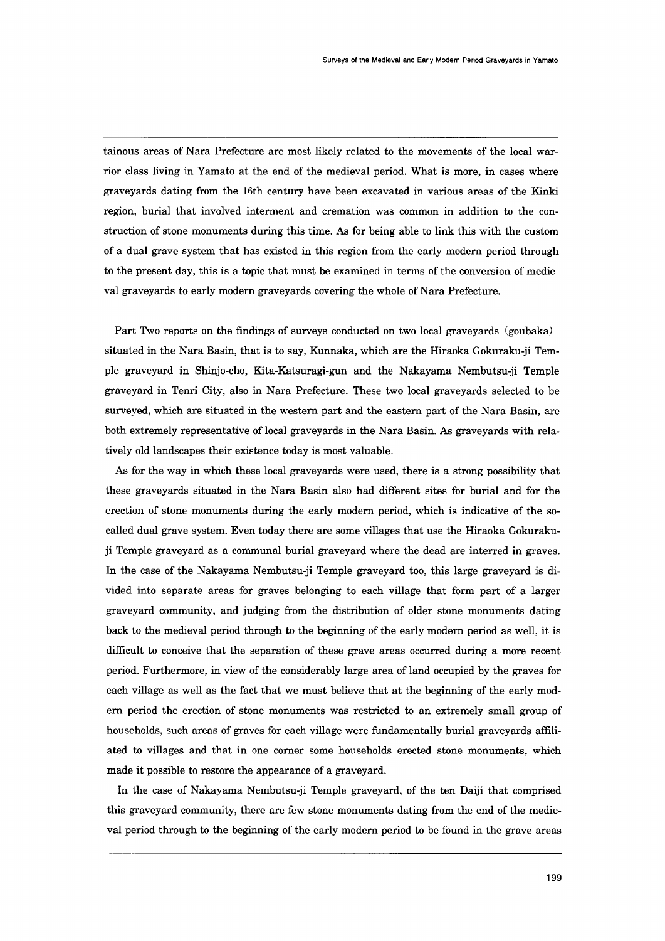tainous areas of Nara Prefecture are most likely related to the movements of the local warrior class living in Yamato at the end of the medieval period. What is more, in cases where graveyards dating from the 16th century have been excavated in various areas of the Kinki region, burial that involved interment and cremation was common in addition to the construction of stone monuments during this time. As for being able to link this with the custom of a dual grave system that has existed in this region from the early modern period through to the present day, this is a topic that must be examined in terms of the conversion of medieval graveyards to early modern graveyards covering the whole of Nara Prefecture.

Part Two reports on the findings of surveys conducted on two local graveyards (goubaka) situated in the Nara Basin, that is to say, Kunnaka, which are the Hiraoka Gokuraku-ji Temple graveyard in Shinjo-cho, Kita-Katsuragi-gun and the Nakayama Nembutsu-ji Temple graveyard in Tenri City, also in Nara Prefecture. These two local graveyards selected to be surveyed, which are situated in the westem part and the eastem part of the Nara Basin, are both extremely representative of local graveyards in the Nara Basin. As graveyards with rela tively old landscapes their existence today is most valuable.

As for the way in which these local graveyards were used, there is a strong possibility that these graveyards situated in the Nara Basin also had different sites for burial and for the erection of stone monuments during the early modem period, which is indicative of the so called dual grave system. Even today there are some villages that use the Hiraoka Gokuraku ji Temple graveyard as a communal burial graveyard where the dead are interred in graves. In the case of the Nakayama Nembutsu-ji Temple graveyard too, this large graveyard is divided into separate areas for graves belonging to each village that form part of a larger graveyard community, and judging from the distribution of older stone monuments dating back to the medieval period through to the beginning of the early modern period as well, it is difficult to conceive that the separation of these grave areas occurred during a more recent period. Furthermore, in view of the considerably large area of land occupied by the graves for each village as well as the fact that we must believe that at the beginning of the early mod em period the erection of stone monuments was restricted to an extremely small group of households, such areas of graves for each village were fundamentally burial graveyards affiliated to villages and that in one corner some households erected stone monuments, which made it possible to restore the appearance of a graveyard.

In the case of Nakayama Nembutsu-ji Temple graveyard, of the ten Daiji that comprised this graveyard community, there are few stone monuments dating from the end of the medieval period through to the beginning of the early modem period to be fbund in the grave areas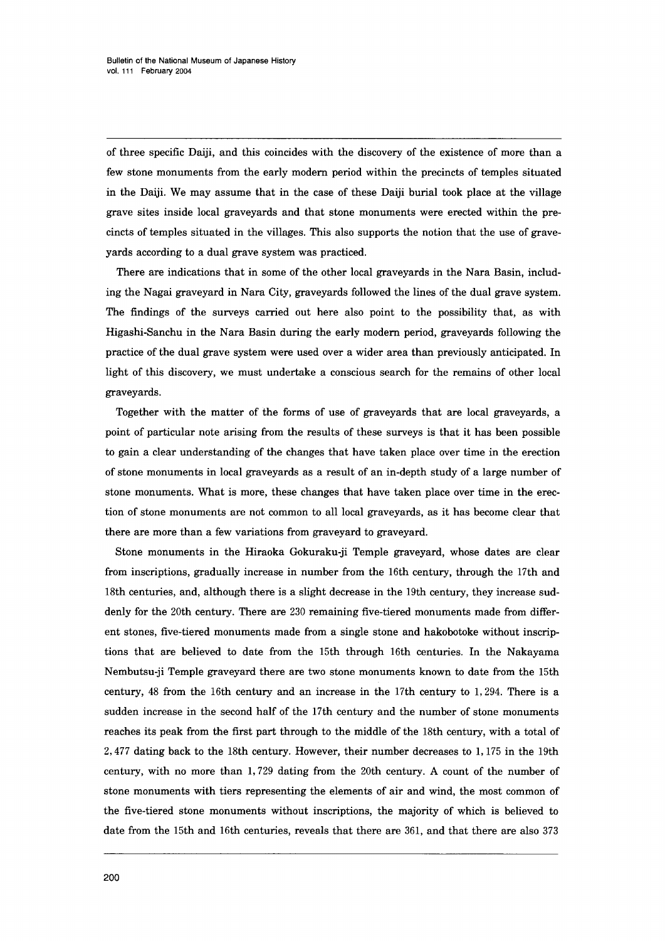of three specific Daiji, and this coincides with the discovery of the existence of more than a few stone monuments from the early modern period within the precincts of temples situated in the Daiji. We may assume that in the case of these Daiji burial took place at the village grave sites inside local graveyards and that stone monuments were erected within the pre cincts of temples situated in the villages. This also supports the notion that the use of graveyards according to a dual grave system was practiced.

 There are indications that in some of the other local graveyards in the Nara Basin, includ ing the Nagai graveyard in Nara City, graveyards fbllowed the lines of the dual grave system. The findings of the surveys carried out here also point to the possibility that, as with Higashi-Sanchu in the Nara Basin during the early modern period, graveyards following the practice of the dual grave system were used over a wider area than previously anticipated. In light of this discovery, we must undertake a conscious search for the remains of other local graveyards.

Together with the matter of the forms of use of graveyards that are local graveyards, a point of particular note arising from the results of these surveys is that it has been possible to gain a clear understanding of the changes that have taken place over time in the erection of stone monuments in local graveyards as a result of an in-depth study of a large number of stone monuments. What is more, these changes that have taken place over time in the erec tion of stone monuments are not common to all local graveyards, as it has become clear that there are more than a few variations from graveyard to graveyard.

Stone monuments in the Hiraoka Gokuraku-ji Temple graveyard, whose dates are clear from inscriptions, gradually increase in number from the 16th century, through the 17th and 18th centuries, and, although there is a slight decrease in the 19th century, they increase suddenly for the 20th century. There are 230 remaining five-tiered monuments made from different stones, five-tiered monuments made from a single stone and hakobotoke without inscriptions that are believed to date from the 15th through 16th centuries. In the Nakayama Nembutsu-ji Temple graveyard there are two stone monuments known to date from the 15th century, 48 from the 16th century and an increase in the 17th century to  $1,294$ . There is a sudden increase in the second half of the 17th century and the number of stone monuments reaches its peak from the first part through to the middle of the 18th century, with a total of 2,477dating back to the 18th century. However, their number decreases to 1,175 in the 19th century, with no more than  $1,729$  dating from the 20th century. A count of the number of stone monuments with tiers representing the elements of air and wind, the most common of the five-tiered stone monuments without inscriptions, the majority of which is believed to date from the 15th and 16th centuries, reveals that there are 361, and that there are also 373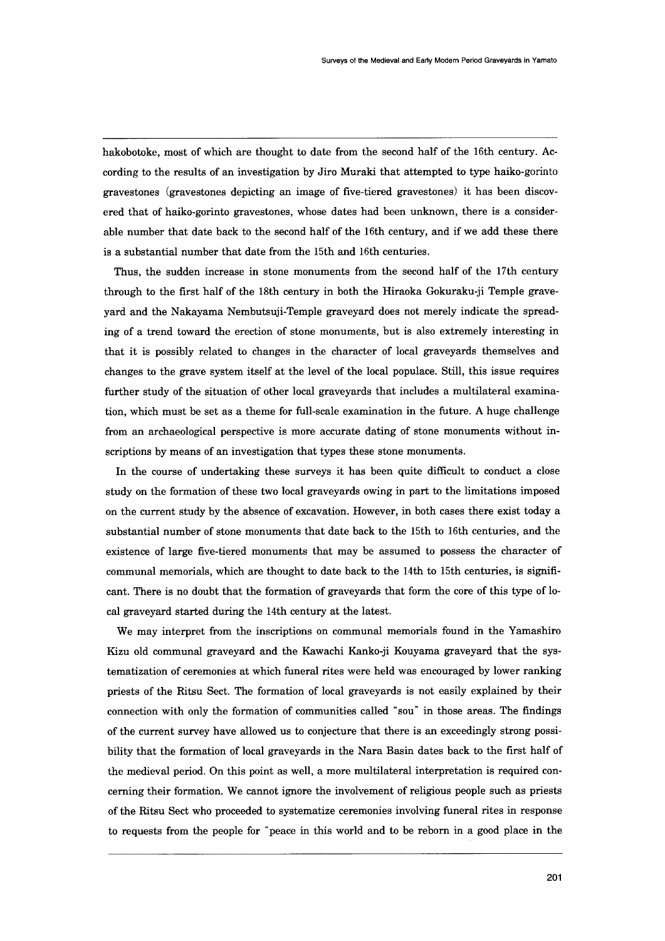hakobotoke, most of which are thought to date from the second half of the 16th century. According to the results of an investigation by Jiro Muraki that attempted to type haiko-gorinto gravestones(gravestones depicting an image of five-tiered gravestones)it has been discov ered that of haiko-gorinto gravestones, whose dates had been unknown, there is a considerable number that date back to the second half of the 16th century, and if we add these there is a substantial number that date from the 15th and 16th centuries.

Thus, the sudden increase in stone monuments from the second half of the 17th century through to the first half of the 18th century in both the Hiraoka Gokurakuji Temple grave yard and the Nakayama Nembutsuji-Temple graveyard does not merely indicate the spreading of a trend toward the erection of stone monuments, but is also extremely interesting in that it is possibly related to changes in the character of local graveyards themselves and changes to the grave system itself at the level of the local populace. Still, this issue requires further study of the situation of other local graveyards that includes a multilateral examination, which must be set as a theme for full-scale examination in the future. A huge challenge from an archaeological perspective is more accurate dating of stone monuments without inscriptions by means of an investigation that types these stone monuments.

In the course of undertaking these surveys it has been quite difficult to conduct a close study on the formation of these two local graveyards owing in part to the limitations imposed on the current study by the absence of excavation. However, in both cases there exist today a substantial number of stone monuments that date back to the 15th to 16th centuries, and the existence of large five-tiered monuments that may be assumed to possess the character of communal memorials, which are thought to date back to the 14th to 15th centuries, is significant. There is no doubt that the formation of graveyards that form the core of this type of local graveyard started during the 14th century at the latest.

We may interpret from the inscriptions on communal memorials found in the Yamashiro Kizu old communal graveyard and the Kawachi Kanko-ji Kouyama graveyard that the systematization of ceremonies at which funeral rites were held was encouraged by lower ranking priests of the Ritsu Sect. The formation of local graveyards is not easily explained by their connection with only the formation of communities called "sou" in those areas. The findings of the current survey have allowed us to conjecture that there is an exceedingly strong possibility that the formation of local graveyards in the Nara Basin dates back to the first half of the medieval period. On this point as well, a more multilateral interpretation is required concerning their formation. We cannot ignore the involvement of religious people such as priests of the Ritsu Sect who proceeded to systematize ceremonies involving funeral rites in response to requests from the people for "peace in this world and to be reborn in a good place in the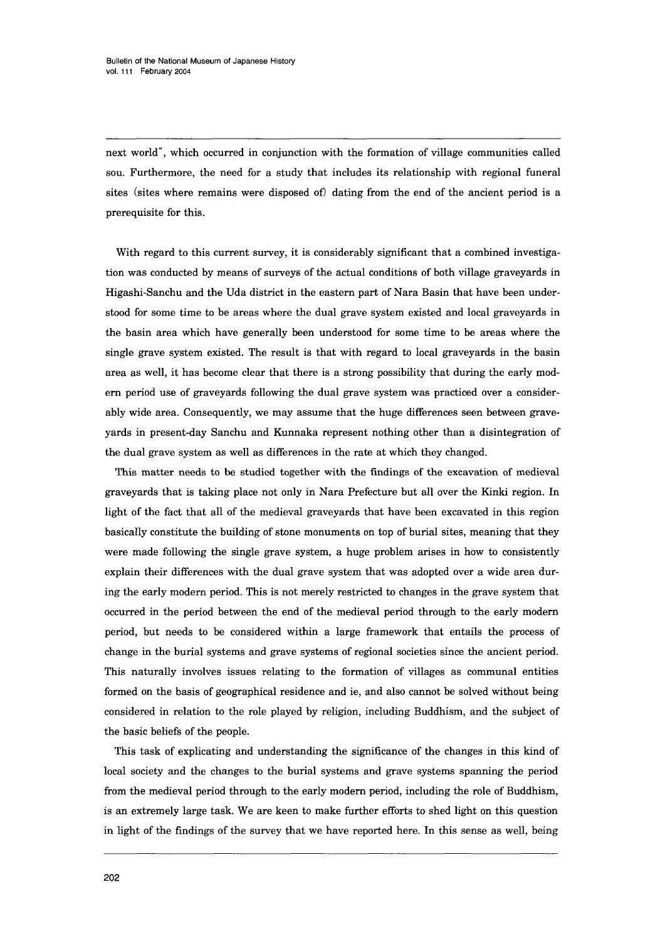next world", which occurred in conjunction with the formation of village communities called sou. Furthermore, the need for a study that includes its relationship with regional funeral sites (sites where remains were disposed of) dating from the end of the ancient period is a prerequisite for this.

 With regard to this current survey, it is considerably significant that a combined investiga tion was conducted by means of surveys of the actual conditions of both village graveyards in Higashi-Sanchu and the Uda district in the eastern part of Nara Basin that have been understood for some time to be areas where the dual grave system existed and local graveyards in the basin area which have generally been understood for some time to be areas where the single grave system existed. The result is that with regard to local graveyards in the basin area as well, it has become clear that there is a strong possibility that during the early mod em period use of graveyards fbllowing the dual grave system was practiced over a consider ably wide area. Consequently, we may assume that the huge differences seen between graveyards in present-day Sanchu and Kunnaka represent nothing other than a disintegration of the dual grave system as well as differences in the rate at which they changed.

This matter needs to be studied together with the findings of the excavation of medieval graveyards that is taking place not only in Nara Prefecture but all over the Kinki region. In light of the fact that all of the medieval graveyards that have been excavated in this region basically constitute the building of stone monuments on top of burial sites, meaning that they were made fbllowing the single grave system, a huge problem arises in how to consistently explain their differences with the dual grave system that was adopted over a wide area during the early modern period. This is not merely restricted to changes in the grave system that occurred in the period between the end of the medieval period through to the early modem period, but needs to be considered within a large framework that entails the process of change in the burial systems and grave systems of regional societies since the ancient period. This naturally involves issues relating to the formation of villages as communal entities formed on the basis of geographical residence and ie, and also cannot be solved without being considered in relation to the role played by religion, including Buddhism, and the sublect of the basic beliefs of the people.

 This task of explicating and understanding the significance of the changes in this kind of local society and the changes to the burial systems and grave systems spanning the period from the medieval period through to the early modern period, including the role of Buddhism, is an extremely large task. We are keen to make further efforts to shed light on this question in light of the findings of the survey that we have reported here. In this sense as well, being